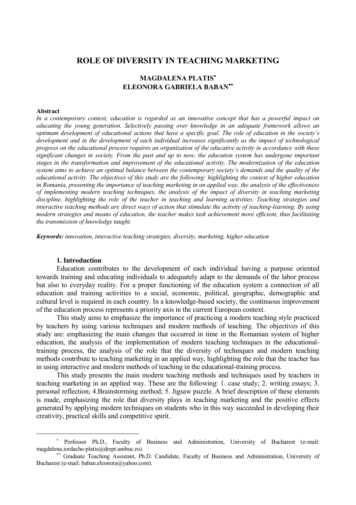# **ROLE OF DIVERSITY IN TEACHING MARKETING**

## **MAGDALENA PLATIS ELEONORA GABRIELA BABAN**

#### **Abstract**

 $\overline{a}$ 

*In a contemporary context, education is regarded as an innovative concept that has a powerful impact on educating the young generation. Selectively passing over knowledge in an adequate framework allows an optimum development of educational actions that have a specific goal. The role of education in the society's development and in the development of each individual increases significantly as the impact of technological progress on the educational process requires an organization of the educative activity in accordance with these significant changes in society. From the past and up to now, the education system has undergone important stages in the transformation and improvement of the educational activity. The modernization of the education system aims to achieve an optimal balance between the contemporary society's demands and the quality of the educational activity. The objectives of this study are the following: highlighting the context of higher education in Romania, presenting the importance of teaching marketing in an applied way, the analysis of the effectiveness of implementing modern teaching techniques, the analysis of the impact of diversity in teaching marketing discipline, highlighting the role of the teacher in teaching and learning activities. Teaching strategies and interactive teaching methods are direct ways of action that stimulate the activity of teaching-learning. By using modern strategies and means of education, the teacher makes task achievement more efficient, thus facilitating the transmission of knowledge taught.*

*Keywords: innovation, interactive teaching strategies, diversity, marketing, higher education*

### **1. Introduction**

Education contributes to the development of each individual having a purpose oriented towards training and educating individuals to adequately adapt to the demands of the labor process but also to everyday reality. For a proper functioning of the education system a connection of all education and training activities to a social, economic, political, geographic, demographic and cultural level is required in each country. In a knowledge-based society, the continuous improvement of the education process represents a priority axis in the current European context.

This study aims to emphasize the importance of practicing a modern teaching style practiced by teachers by using various techniques and modern methods of teaching. The objectives of this study are: emphasizing the main changes that occurred in time in the Romanian system of higher education, the analysis of the implementation of modern teaching techniques in the educationaltraining process, the analysis of the role that the diversity of techniques and modern teaching methods contribute to teaching marketing in an applied way, highlighting the role that the teacher has in using interactive and modern methods of teaching in the educational-training process.

This study presents the main modern teaching methods and techniques used by teachers in teaching marketing in an applied way. These are the following: 1. case study; 2. writing essays; 3. personal reflection; 4.Brainstorming method; 5. Jigsaw puzzle. A brief description of these elements is made, emphasizing the role that diversity plays in teaching marketing and the positive effects generated by applying modern techniques on students who in this way succeeded in developing their creativity, practical skills and competitive spirit.

<sup>\*</sup> Professor Ph.D., Faculty of Business and Administration, University of Bucharest (e-mail: magdalena.iordache-platis@drept.unibuc.ro).

<sup>\*\*</sup> Graduate Teaching Assistant, Ph.D. Candidate, Faculty of Business and Administration, University of Bucharest (e-mail: baban.eleonora@yahoo.com).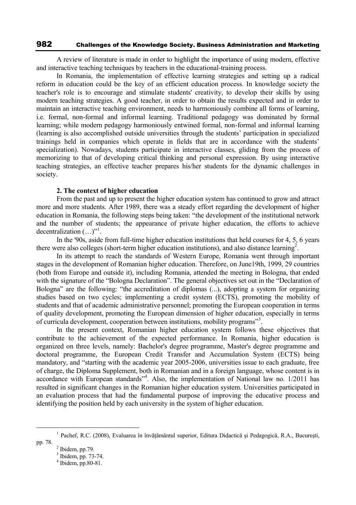A review of literature is made in order to highlight the importance of using modern, effective and interactive teaching techniques by teachers in the educational-training process.

In Romania, the implementation of effective learning strategies and setting up a radical reform in education could be the key of an efficient education process. In knowledge society the teacher's role is to encourage and stimulate students' creativity, to develop their skills by using modern teaching strategies. A good teacher, in order to obtain the results expected and in order to maintain an interactive teaching environment, needs to harmoniously combine all forms of learning, i.e. formal, non-formal and informal learning. Traditional pedagogy was dominated by formal learning; while modern pedagogy harmoniously entwined formal, non-formal and informal learning (learning is also accomplished outside universities through the students' participation in specialized trainings held in companies which operate in fields that are in accordance with the students' specialization). Nowadays, students participate in interactive classes, gliding from the process of memorizing to that of developing critical thinking and personal expression. By using interactive teaching strategies, an effective teacher prepares his/her students for the dynamic challenges in society.

#### **2. The context of higher education**

From the past and up to present the higher education system has continued to grow and attract more and more students. After 1989, there was a steady effort regarding the development of higher education in Romania, the following steps being taken: "the development of the institutional network and the number of students; the appearance of private higher education, the efforts to achieve decentralization  $(\ldots)^{n}$ .

In the '90s, aside from full-time higher education institutions that held courses for 4, 5, 6 years there were also colleges (short-term higher education institutions), and also distance learning<sup>2</sup>.

In its attempt to reach the standards of Western Europe, Romania went through important stages in the development of Romanian higher education. Therefore, on June19th, 1999, 29 countries (both from Europe and outside it), including Romania, attended the meeting in Bologna, that ended with the signature of the "Bologna Declaration". The general objectives set out in the "Declaration of Bologna" are the following: "the accreditation of diplomas (...), adopting a system for organizing studies based on two cycles; implementing a credit system (ECTS), promoting the mobility of students and that of academic administrative personnel; promoting the European cooperation in terms of quality development, promoting the European dimension of higher education, especially in terms of curricula development, cooperation between institutions, mobility programs"<sup>3</sup>.

In the present context, Romanian higher education system follows these objectives that contribute to the achievement of the expected performance. In Romania, higher education is organized on three levels, namely: Bachelor's degree programme, Master's degree programme and doctoral programme, the European Credit Transfer and Accumulation System (ECTS) being mandatory, and "starting with the academic year 2005-2006, universities issue to each graduate, free of charge, the Diploma Supplement, both in Romanian and in a foreign language, whose content is in accordance with European standards"<sup>4</sup>. Also, the implementation of National law no. 1/2011 has resulted in significant changes in the Romanian higher education system. Universities participated in an evaluation process that had the fundamental purpose of improving the educative process and identifying the position held by each university in the system of higher education.

 $<sup>2</sup>$  Ibidem, pp.79.</sup>

<sup>&</sup>lt;sup>1</sup> Pachef, R.C. (2008), Evaluarea în învățământul superior, Editura Didactică și Pedagogică, R.A., București, pp. 78.

<sup>3</sup> Ibidem, pp. 73-74.

<sup>4</sup> Ibidem, pp.80-81.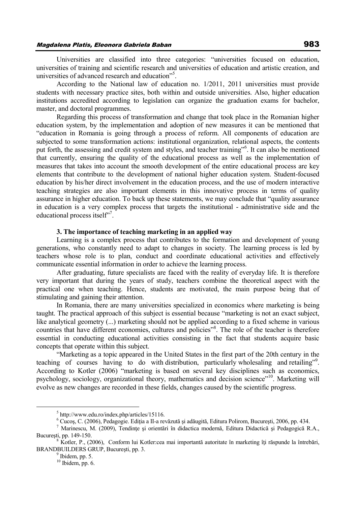Universities are classified into three categories: "universities focused on education, universities of training and scientific research and universities of education and artistic creation, and universities of advanced research and education"<sup>5</sup>.

According to the National law of education no. 1/2011, 2011 universities must provide students with necessary practice sites, both within and outside universities. Also, higher education institutions accredited according to legislation can organize the graduation exams for bachelor, master, and doctoral programmes.

Regarding this process of transformation and change that took place in the Romanian higher education system, by the implementation and adoption of new measures it can be mentioned that "education in Romania is going through a process of reform. All components of education are subjected to some transformation actions: institutional organization, relational aspects, the contents put forth, the assessing and credit system and styles, and teacher training"<sup>6</sup>. It can also be mentioned that currently, ensuring the quality of the educational process as well as the implementation of measures that takes into account the smooth development of the entire educational process are key elements that contribute to the development of national higher education system. Student-focused education by his/her direct involvement in the education process, and the use of modern interactive teaching strategies are also important elements in this innovative process in terms of quality assurance in higher education. To back up these statements, we may conclude that "quality assurance in education is a very complex process that targets the institutional - administrative side and the educational process itself"<sup>7</sup>.

### **3. The importance of teaching marketing in an applied way**

Learning is a complex process that contributes to the formation and development of young generations, who constantly need to adapt to changes in society. The learning process is led by teachers whose role is to plan, conduct and coordinate educational activities and effectively communicate essential information in order to achieve the learning process.

After graduating, future specialists are faced with the reality of everyday life. It is therefore very important that during the years of study, teachers combine the theoretical aspect with the practical one when teaching. Hence, students are motivated, the main purpose being that of stimulating and gaining their attention.

In Romania, there are many universities specialized in economics where marketing is being taught. The practical approach of this subject is essential because "marketing is not an exact subject, like analytical geometry (...) marketing should not be applied according to a fixed scheme in various countries that have different economies, cultures and policies"<sup>8</sup>. The role of the teacher is therefore essential in conducting educational activities consisting in the fact that students acquire basic concepts that operate within this subject.

"Marketing as a topic appeared in the United States in the first part of the 20th century in the teaching of courses having to do with distribution, particularly wholesaling and retailing"<sup>9</sup>. According to Kotler (2006) "marketing is based on several key disciplines such as economics, psychology, sociology, organizational theory, mathematics and decision science"<sup>10</sup>. Marketing will evolve as new changes are recorded in these fields, changes caused by the scientific progress.

 $\overline{a}$ 

<sup>5</sup> http://www.edu.ro/index.php/articles/15116.

<sup>6</sup> Cucoş, C. (2006), Pedagogie. Ediţia a II-a revăzută şi adăugită, Editura Polirom, Bucureşti, 2006, pp. 434.

<sup>&</sup>lt;sup>7</sup> Marinescu, M. (2009), Tendințe și orientări în didactica modernă, Editura Didactică și Pedagogică R.A., Bucureşti, pp. 149-150.

<sup>&</sup>lt;sup>8</sup> Kotler, P., (2006), Conform lui Kotler:cea mai importantă autoritate în marketing îți răspunde la întrebări, BRANDBUILDERS GRUP, Bucureşti, pp. 3.

 $<sup>9</sup>$  Ibidem, pp. 5.</sup>

 $10$  Ibidem, pp. 6.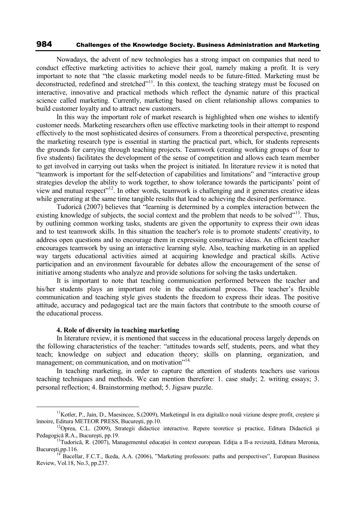Nowadays, the advent of new technologies has a strong impact on companies that need to conduct effective marketing activities to achieve their goal, namely making a profit. It is very important to note that "the classic marketing model needs to be future-fitted. Marketing must be deconstructed, redefined and stretched"<sup>11</sup>. In this context, the teaching strategy must be focused on interactive, innovative and practical methods which reflect the dynamic nature of this practical science called marketing. Currently, marketing based on client relationship allows companies to build customer loyalty and to attract new customers.

In this way the important role of market research is highlighted when one wishes to identify customer needs. Marketing researchers often use effective marketing tools in their attempt to respond effectively to the most sophisticated desires of consumers. From a theoretical perspective, presenting the marketing research type is essential in starting the practical part, which, for students represents the grounds for carrying through teaching projects. Teamwork (creating working groups of four to five students) facilitates the development of the sense of competition and allows each team member to get involved in carrying out tasks when the project is initiated. In literature review it is noted that "teamwork is important for the self-detection of capabilities and limitations" and "interactive group strategies develop the ability to work together, to show tolerance towards the participants' point of view and mutual respect"<sup>12</sup>. In other words, teamwork is challenging and it generates creative ideas while generating at the same time tangible results that lead to achieving the desired performance.

Tudorică (2007) believes that "learning is determined by a complex interaction between the existing knowledge of subjects, the social context and the problem that needs to be solved"<sup>13</sup>. Thus, by outlining common working tasks, students are given the opportunity to express their own ideas and to test teamwork skills. In this situation the teacher's role is to promote students' creativity, to address open questions and to encourage them in expressing constructive ideas. An efficient teacher encourages teamwork by using an interactive learning style. Also, teaching marketing in an applied way targets educational activities aimed at acquiring knowledge and practical skills. Active participation and an environment favourable for debates allow the encouragement of the sense of initiative among students who analyze and provide solutions for solving the tasks undertaken.

It is important to note that teaching communication performed between the teacher and his/her students plays an important role in the educational process. The teacher's flexible communication and teaching style gives students the freedom to express their ideas. The positive attitude, accuracy and pedagogical tact are the main factors that contribute to the smooth course of the educational process.

### **4. Role of diversity in teaching marketing**

 $\overline{a}$ 

In literature review, it is mentioned that success in the educational process largely depends on the following characteristics of the teacher: "attitudes towards self, students, peers, and what they teach; knowledge on subject and education theory; skills on planning, organization, and management; on communication, and on motivation"<sup>14.</sup>

In teaching marketing, in order to capture the attention of students teachers use various teaching techniques and methods. We can mention therefore: 1. case study; 2. writing essays; 3. personal reflection; 4. Brainstorming method; 5. Jigsaw puzzle.

<sup>&</sup>lt;sup>11</sup>Kotler, P., Jain, D., Maesincee, S.(2009), Marketingul în era digitală:o nouă viziune despre profit, creștere și înnoire, Editura METEOR PRESS, Bucureşti, pp.10.

<sup>&</sup>lt;sup>12</sup>Oprea, C.L. (2009), Strategii didactice interactive. Repere teoretice și practice, Editura Didactică și Pedagogică R.A., Bucureşti, pp.19.

<sup>&</sup>lt;sup>13</sup>Tudorică, R. (2007), Managementul educației în context european. Ediția a II-a revizuită, Editura Meronia, Bucureşti,pp.116.

<sup>14</sup> Bacellar, F.C.T., Ikeda, A.A. (2006), "Marketing professors: paths and perspectives", European Business Review, Vol.18, No.3, pp.237.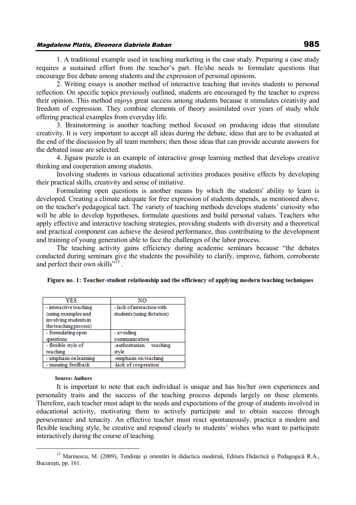### Magdalena Platis, Eleonora Gabriela Baban 985

1. A traditional example used in teaching marketing is the case study. Preparing a case study requires a sustained effort from the teacher's part. He/she needs to formulate questions that encourage free debate among students and the expression of personal opinions.

2. Writing essays is another method of interactive teaching that invites students to personal reflection. On specific topics previously outlined, students are encouraged by the teacher to express their opinion. This method enjoys great success among students because it stimulates creativity and freedom of expression. They combine elements of theory assimilated over years of study while offering practical examples from everyday life.

3. Brainstorming is another teaching method focused on producing ideas that stimulate creativity. It is very important to accept all ideas during the debate, ideas that are to be evaluated at the end of the discussion by all team members; then those ideas that can provide accurate answers for the debated issue are selected.

4. Jigsaw puzzle is an example of interactive group learning method that develops creative thinking and cooperation among students.

Involving students in various educational activities produces positive effects by developing their practical skills, creativity and sense of initiative.

Formulating open questions is another means by which the students' ability to learn is developed. Creating a climate adequate for free expression of students depends, as mentioned above, on the teacher's pedagogical tact. The variety of teaching methods develops students' curiosity who will be able to develop hypotheses, formulate questions and build personal values. Teachers who apply effective and interactive teaching strategies, providing students with diversity and a theoretical and practical component can achieve the desired performance, thus contributing to the development and training of young generation able to face the challenges of the labor process.

The teaching activity gains efficiency during academic seminars because "the debates conducted during seminars give the students the possibility to clarify, improve, fathom, corroborate and perfect their own skills"<sup>15</sup>.

| YES                    | NΩ                         |  |
|------------------------|----------------------------|--|
| - interactive teaching | - lack of interaction with |  |
| (using examples and    | students (using dictation) |  |
| involving students in  |                            |  |
| the teaching process)  |                            |  |
| - formulating open     | - avoiding                 |  |
| questions              | communication              |  |
| - flexible style of    | -authoritarian<br>teaching |  |
| teaching               | style                      |  |
| - emphasis on learning | -emphasis on teaching      |  |
| - ensuring feedback    | -lack of cooperation       |  |

| Figure no. 1: Teacher-student relationship and the efficiency of applying modern teaching techniques |  |  |
|------------------------------------------------------------------------------------------------------|--|--|
|------------------------------------------------------------------------------------------------------|--|--|

#### **Source: Authors**

It is important to note that each individual is unique and has his/her own experiences and personality traits and the success of the teaching process depends largely on these elements. Therefore, each teacher must adapt to the needs and expectations of the group of students involved in educational activity, motivating them to actively participate and to obtain success through perseverance and tenacity. An effective teacher must react spontaneously, practice a modern and flexible teaching style, be creative and respond clearly to students' wishes who want to participate interactively during the course of teaching.

<sup>&</sup>lt;sup>15</sup> Marinescu, M. (2009), Tendințe și orientări în didactica modernă, Editura Didactică și Pedagogică R.A., Bucureşti, pp. 161.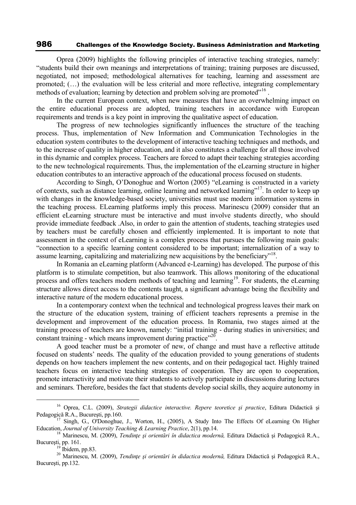Oprea (2009) highlights the following principles of interactive teaching strategies, namely: "students build their own meanings and interpretations of training; training purposes are discussed, negotiated, not imposed; methodological alternatives for teaching, learning and assessment are promoted; (…) the evaluation will be less criterial and more reflective, integrating complementary methods of evaluation; learning by detection and problem solving are promoted"<sup>16</sup>.

In the current European context, when new measures that have an overwhelming impact on the entire educational process are adopted, training teachers in accordance with European requirements and trends is a key point in improving the qualitative aspect of education.

The progress of new technologies significantly influences the structure of the teaching process. Thus, implementation of New Information and Communication Technologies in the education system contributes to the development of interactive teaching techniques and methods, and to the increase of quality in higher education, and it also constitutes a challenge for all those involved in this dynamic and complex process. Teachers are forced to adapt their teaching strategies according to the new technological requirements. Thus, the implementation of the eLearning structure in higher education contributes to an interactive approach of the educational process focused on students.

According to Singh, O'Donoghue and Worton (2005) "eLearning is constructed in a variety of contexts, such as distance learning, online learning and networked learning"<sup>17</sup>. In order to keep up with changes in the knowledge-based society, universities must use modern information systems in the teaching process. ELearning platforms imply this process. Marinescu (2009) consider that an efficient eLearning structure must be interactive and must involve students directly, who should provide immediate feedback .Also, in order to gain the attention of students, teaching strategies used by teachers must be carefully chosen and efficiently implemented. It is important to note that assessment in the context of eLearning is a complex process that pursues the following main goals: "connection to a specific learning content considered to be important; internalization of a way to assume learning, capitalizing and materializing new acquisitions by the beneficiary"<sup>18</sup>.

In Romania an eLearning platform (Advanced e-Learning) has developed. The purpose of this platform is to stimulate competition, but also teamwork. This allows monitoring of the educational process and offers teachers modern methods of teaching and learning<sup>19</sup>. For students, the eLearning structure allows direct access to the contents taught, a significant advantage being the flexibility and interactive nature of the modern educational process.

In a contemporary context when the technical and technological progress leaves their mark on the structure of the education system, training of efficient teachers represents a premise in the development and improvement of the education process. In Romania, two stages aimed at the training process of teachers are known, namely: "initial training - during studies in universities; and constant training - which means improvement during practice"<sup>20</sup>.

A good teacher must be a promoter of new, of change and must have a reflective attitude focused on students' needs. The quality of the education provided to young generations of students depends on how teachers implement the new contents, and on their pedagogical tact. Highly trained teachers focus on interactive teaching strategies of cooperation. They are open to cooperation, promote interactivity and motivate their students to actively participate in discussions during lectures and seminars. Therefore, besides the fact that students develop social skills, they acquire autonomy in

 $\overline{a}$ 

<sup>16</sup> Oprea, C.L. (2009), *Strategii didactice interactive. Repere teoretice şi practice*, Editura Didactică şi Pedagogică R.A., Bucureşti, pp.160.

<sup>&</sup>lt;sup>17</sup> Singh, G., O'Donoghue, J., Worton, H., (2005), A Study Into The Effects Of eLearning On Higher Education, *Journal of University Teaching & Learning Practice*, 2(1), pp.14.

<sup>18</sup> Marinescu, M. (2009), *Tendinţe şi orientări în didactica modernă,* Editura Didactică şi Pedagogică R.A., Bucureşti, pp. 161.

 $^{19}$  Ibidem, pp.83.

<sup>20</sup> Marinescu, M. (2009), *Tendinţe şi orientări în didactica modernă,* Editura Didactică şi Pedagogică R.A., Bucureşti, pp.132.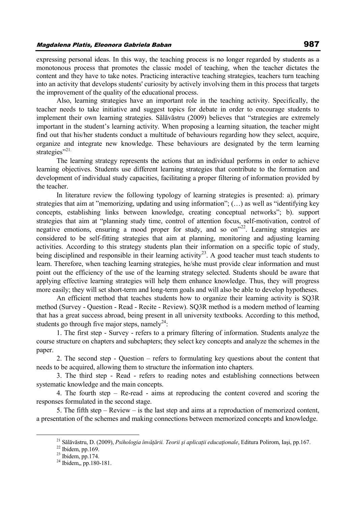expressing personal ideas. In this way, the teaching process is no longer regarded by students as a

monotonous process that promotes the classic model of teaching, when the teacher dictates the content and they have to take notes. Practicing interactive teaching strategies, teachers turn teaching into an activity that develops students' curiosity by actively involving them in this process that targets the improvement of the quality of the educational process.

Also, learning strategies have an important role in the teaching activity. Specifically, the teacher needs to take initiative and suggest topics for debate in order to encourage students to implement their own learning strategies. Sălăvăstru (2009) believes that "strategies are extremely important in the student's learning activity. When proposing a learning situation, the teacher might find out that his/her students conduct a multitude of behaviours regarding how they select, acquire, organize and integrate new knowledge. These behaviours are designated by the term learning strategies"<sup>21.</sup>

The learning strategy represents the actions that an individual performs in order to achieve learning objectives. Students use different learning strategies that contribute to the formation and development of individual study capacities, facilitating a proper filtering of information provided by the teacher.

In literature review the following typology of learning strategies is presented: a). primary strategies that aim at "memorizing, updating and using information"; (…) as well as "identifying key concepts, establishing links between knowledge, creating conceptual networks"; b). support strategies that aim at "planning study time, control of attention focus, self-motivation, control of negative emotions, ensuring a mood proper for study, and so on<sup>22</sup>. Learning strategies are considered to be self-fitting strategies that aim at planning, monitoring and adjusting learning activities. According to this strategy students plan their information on a specific topic of study, being disciplined and responsible in their learning activity<sup>23</sup>. A good teacher must teach students to learn. Therefore, when teaching learning strategies, he/she must provide clear information and must point out the efficiency of the use of the learning strategy selected. Students should be aware that applying effective learning strategies will help them enhance knowledge. Thus, they will progress more easily; they will set short-term and long-term goals and will also be able to develop hypotheses.

An efficient method that teaches students how to organize their learning activity is SQ3R method (Survey - Question - Read - Recite - Review). SQ3R method is a modern method of learning that has a great success abroad, being present in all university textbooks. According to this method, students go through five major steps, namely $^{24}$ :

1. The first step - Survey - refers to a primary filtering of information. Students analyze the course structure on chapters and subchapters; they select key concepts and analyze the schemes in the paper.

2. The second step - Question – refers to formulating key questions about the content that needs to be acquired, allowing them to structure the information into chapters.

3. The third step - Read - refers to reading notes and establishing connections between systematic knowledge and the main concepts.

4. The fourth step – Re-read - aims at reproducing the content covered and scoring the responses formulated in the second stage.

5. The fifth step – Review – is the last step and aims at a reproduction of memorized content, a presentation of the schemes and making connections between memorized concepts and knowledge.

 $\overline{a}$ 

<sup>21</sup> Sălăvăstru, D. (2009), *Psihologia învăţării. Teorii şi aplicaţii educaţionale*, Editura Polirom, Iaşi, pp.167.

 $22$  Ibidem, pp.169.

 $23$  Ibidem, pp.174.

<sup>24</sup> Ibidem,, pp.180-181.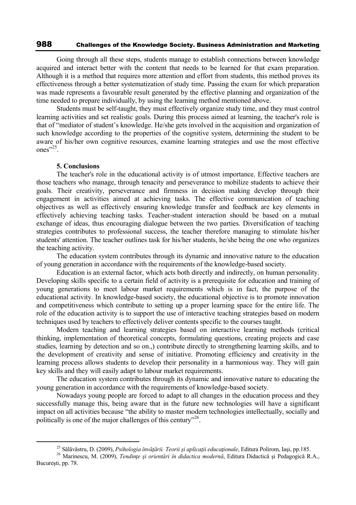Going through all these steps, students manage to establish connections between knowledge acquired and interact better with the content that needs to be learned for that exam preparation. Although it is a method that requires more attention and effort from students, this method proves its effectiveness through a better systematization of study time. Passing the exam for which preparation was made represents a favourable result generated by the effective planning and organization of the time needed to prepare individually, by using the learning method mentioned above.

Students must be self-taught, they must effectively organize study time, and they must control learning activities and set realistic goals. During this process aimed at learning, the teacher's role is that of "mediator of student's knowledge. He/she gets involved in the acquisition and organization of such knowledge according to the properties of the cognitive system, determining the student to be aware of his/her own cognitive resources, examine learning strategies and use the most effective ones"<sup>25</sup>.

#### **5. Conclusions**

 $\overline{a}$ 

The teacher's role in the educational activity is of utmost importance. Effective teachers are those teachers who manage, through tenacity and perseverance to mobilize students to achieve their goals. Their creativity, perseverance and firmness in decision making develop through their engagement in activities aimed at achieving tasks. The effective communication of teaching objectives as well as effectively ensuring knowledge transfer and feedback are key elements in effectively achieving teaching tasks. Teacher-student interaction should be based on a mutual exchange of ideas, thus encouraging dialogue between the two parties. Diversification of teaching strategies contributes to professional success, the teacher therefore managing to stimulate his/her students' attention. The teacher outlines task for his/her students, he/she being the one who organizes the teaching activity.

The education system contributes through its dynamic and innovative nature to the education of young generation in accordance with the requirements of the knowledge-based society.

Education is an external factor, which acts both directly and indirectly, on human personality. Developing skills specific to a certain field of activity is a prerequisite for education and training of young generations to meet labour market requirements which is in fact, the purpose of the educational activity. In knowledge-based society, the educational objective is to promote innovation and competitiveness which contribute to setting up a proper learning space for the entire life. The role of the education activity is to support the use of interactive teaching strategies based on modern techniques used by teachers to effectively deliver contents specific to the courses taught.

Modern teaching and learning strategies based on interactive learning methods (critical thinking, implementation of theoretical concepts, formulating questions, creating projects and case studies, learning by detection and so on.,) contribute directly to strengthening learning skills, and to the development of creativity and sense of initiative. Promoting efficiency and creativity in the learning process allows students to develop their personality in a harmonious way. They will gain key skills and they will easily adapt to labour market requirements.

The education system contributes through its dynamic and innovative nature to educating the young generation in accordance with the requirements of knowledge-based society.

Nowadays young people are forced to adapt to all changes in the education process and they successfully manage this, being aware that in the future new technologies will have a significant impact on all activities because "the ability to master modern technologies intellectually, socially and politically is one of the major challenges of this century"<sup>26</sup>.

<sup>25</sup> Sălăvăstru, D. (2009), *Psihologia învăţării. Teorii şi aplicaţii educaţionale*, Editura Polirom, Iaşi, pp.185.

<sup>26</sup> Marinescu, M. (2009), *Tendinţe şi orientări în didactica modernă*, Editura Didactică şi Pedagogică R.A., Bucureşti, pp. 78.